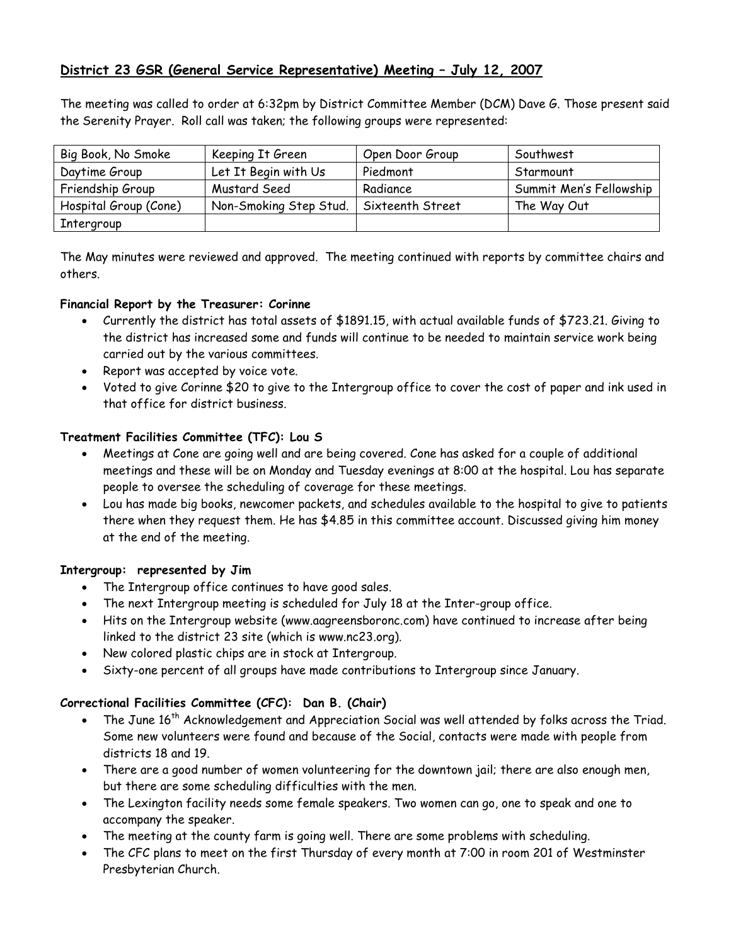# District 23 GSR (General Service Representative) Meeting – July 12, 2007

The meeting was called to order at 6:32pm by District Committee Member (DCM) Dave G. Those present said the Serenity Prayer. Roll call was taken; the following groups were represented:

| Big Book, No Smoke    | Keeping It Green       | Open Door Group  | Southwest               |
|-----------------------|------------------------|------------------|-------------------------|
| Daytime Group         | Let It Begin with Us   | Piedmont         | Starmount               |
| Friendship Group      | Mustard Seed           | Radiance         | Summit Men's Fellowship |
| Hospital Group (Cone) | Non-Smoking Step Stud. | Sixteenth Street | The Way Out             |
| Intergroup            |                        |                  |                         |

The May minutes were reviewed and approved. The meeting continued with reports by committee chairs and others.

### Financial Report by the Treasurer: Corinne

- Currently the district has total assets of \$1891.15, with actual available funds of \$723.21. Giving to the district has increased some and funds will continue to be needed to maintain service work being carried out by the various committees.
- Report was accepted by voice vote.
- Voted to give Corinne \$20 to give to the Intergroup office to cover the cost of paper and ink used in that office for district business.

# Treatment Facilities Committee (TFC): Lou S

- Meetings at Cone are going well and are being covered. Cone has asked for a couple of additional meetings and these will be on Monday and Tuesday evenings at 8:00 at the hospital. Lou has separate people to oversee the scheduling of coverage for these meetings.
- Lou has made big books, newcomer packets, and schedules available to the hospital to give to patients there when they request them. He has \$4.85 in this committee account. Discussed giving him money at the end of the meeting.

# Intergroup: represented by Jim

- The Intergroup office continues to have good sales.
- The next Intergroup meeting is scheduled for July 18 at the Inter-group office.
- Hits on the Intergroup website (www.aagreensboronc.com) have continued to increase after being linked to the district 23 site (which is www.nc23.org).
- New colored plastic chips are in stock at Intergroup.
- Sixty-one percent of all groups have made contributions to Intergroup since January.

# Correctional Facilities Committee (CFC): Dan B. (Chair)

- The June 16<sup>th</sup> Acknowledgement and Appreciation Social was well attended by folks across the Triad. Some new volunteers were found and because of the Social, contacts were made with people from districts 18 and 19.
- There are a good number of women volunteering for the downtown jail; there are also enough men, but there are some scheduling difficulties with the men.
- The Lexington facility needs some female speakers. Two women can go, one to speak and one to accompany the speaker.
- The meeting at the county farm is going well. There are some problems with scheduling.
- The CFC plans to meet on the first Thursday of every month at 7:00 in room 201 of Westminster Presbyterian Church.